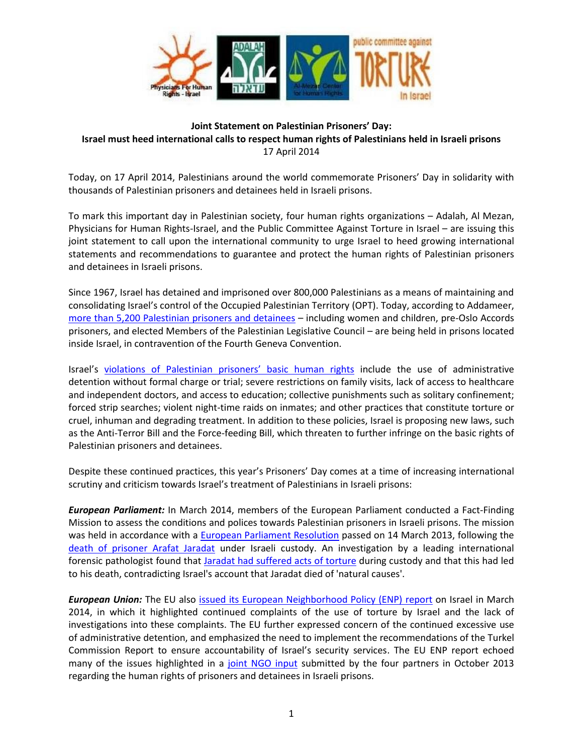

## **Joint Statement on Palestinian Prisoners' Day: Israel must heed international calls to respect human rights of Palestinians held in Israeli prisons** 17 April 2014

Today, on 17 April 2014, Palestinians around the world commemorate Prisoners' Day in solidarity with thousands of Palestinian prisoners and detainees held in Israeli prisons.

To mark this important day in Palestinian society, four human rights organizations – Adalah, Al Mezan, Physicians for Human Rights-Israel, and the Public Committee Against Torture in Israel – are issuing this joint statement to call upon the international community to urge Israel to heed growing international statements and recommendations to guarantee and protect the human rights of Palestinian prisoners and detainees in Israeli prisons.

Since 1967, Israel has detained and imprisoned over 800,000 Palestinians as a means of maintaining and consolidating Israel's control of the Occupied Palestinian Territory (OPT). Today, according to Addameer, more than 5,200 [Palestinian prisoners and detainees](http://www.addameer.org/etemplate.php?id=672) – including women and children, pre-Oslo Accords prisoners, and elected Members of the Palestinian Legislative Council – are being held in prisons located inside Israel, in contravention of the Fourth Geneva Convention.

Israel's violations of Palestinian [prisoners' basic human rights](http://adalah.org/Public/files/English/International_Advocacy/ENP/Joint-input-Prisoners-ENP-Israel-Oct-2013.pdf) include the use of administrative detention without formal charge or trial; severe restrictions on family visits, lack of access to healthcare and independent doctors, and access to education; collective punishments such as solitary confinement; forced strip searches; violent night-time raids on inmates; and other practices that constitute torture or cruel, inhuman and degrading treatment. In addition to these policies, Israel is proposing new laws, such as the Anti-Terror Bill and the Force-feeding Bill, which threaten to further infringe on the basic rights of Palestinian prisoners and detainees.

Despite these continued practices, this year's Prisoners' Day comes at a time of increasing international scrutiny and criticism towards Israel's treatment of Palestinians in Israeli prisons:

*European Parliament:* In March 2014, members of the European Parliament conducted a Fact-Finding Mission to assess the conditions and polices towards Palestinian prisoners in Israeli prisons. The mission was held in accordance with a [European Parliament Resolution](http://www.europarl.europa.eu/sides/getDoc.do?type=TA&reference=P7-TA-2013-0102&language=EN&ring=P7-RC-2013-0154) passed on 14 March 2013, following the [death of prisoner Arafat Jaradat](http://adalah.org/Public/files/English/Newsletter/101-February-2013/Statement-Jaradat-Prisoners-Adalah-PCATI-PHRI-English.pdf) under Israeli custody. An investigation by a leading international forensic pathologist found that [Jaradat had suffered acts of torture](http://www.stoptorture.org.il/en/node/1979) during custody and that this had led to his death, contradicting Israel's account that Jaradat died of 'natural causes'.

**European Union:** The EU also *issued its European Neighborhood Policy (ENP)* report on Israel in March 2014, in which it highlighted continued complaints of the use of torture by Israel and the lack of investigations into these complaints. The EU further expressed concern of the continued excessive use of administrative detention, and emphasized the need to implement the recommendations of the Turkel Commission Report to ensure accountability of Israel's security services. The EU ENP report echoed many of the issues highlighted in a [joint NGO input](http://adalah.org/Public/files/English/International_Advocacy/ENP/Joint-input-Prisoners-ENP-Israel-Oct-2013.pdf) submitted by the four partners in October 2013 regarding the human rights of prisoners and detainees in Israeli prisons.